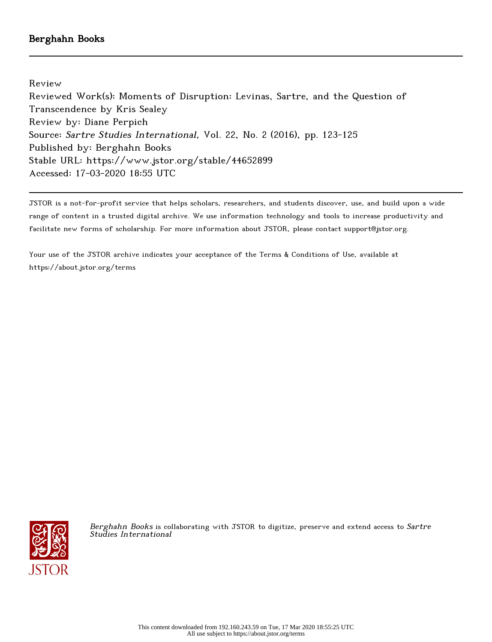## Berghahn Books

Review

Reviewed Work(s): Moments of Disruption: Levinas, Sartre, and the Question of Transcendence by Kris Sealey Review by: Diane Perpich Source: Sartre Studies International, Vol. 22, No. 2 (2016), pp. 123-125 Published by: Berghahn Books Stable URL: https://www.jstor.org/stable/44652899 Accessed: 17-03-2020 18:55 UTC

JSTOR is a not-for-profit service that helps scholars, researchers, and students discover, use, and build upon a wide range of content in a trusted digital archive. We use information technology and tools to increase productivity and facilitate new forms of scholarship. For more information about JSTOR, please contact support@jstor.org.

Your use of the JSTOR archive indicates your acceptance of the Terms & Conditions of Use, available at https://about.jstor.org/terms



Berghahn Books is collaborating with JSTOR to digitize, preserve and extend access to Sartre Studies International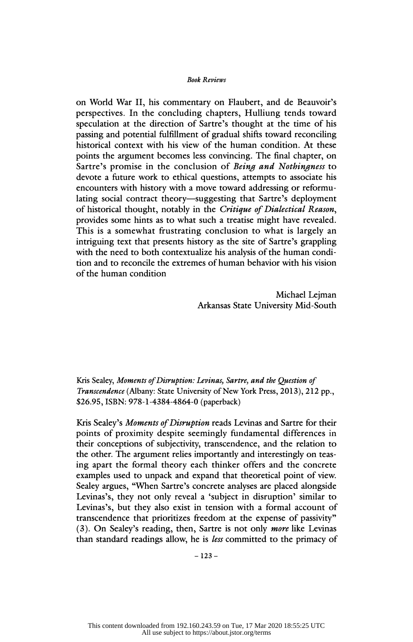## Book Reviews

 on World War II, his commentary on Flaubert, and de Beauvoir's perspectives. In the concluding chapters, Hulliung tends toward speculation at the direction of Sartre's thought at the time of his passing and potential fulfillment of gradual shifts toward reconciling historical context with his view of the human condition. At these points the argument becomes less convincing. The final chapter, on Sartre's promise in the conclusion of Being and Nothingness to devote a future work to ethical questions, attempts to associate his encounters with history with a move toward addressing or reformu lating social contract theory—suggesting that Sartre's deployment of historical thought, notably in the Critique of Dialectical Reason, provides some hints as to what such a treatise might have revealed. This is a somewhat frustrating conclusion to what is largely an intriguing text that presents history as the site of Sartre's grappling with the need to both contextualize his analysis of the human condi tion and to reconcile the extremes of human behavior with his vision of the human condition

> Michael Lejman Arkansas State University Mid-South

Kris Sealey, Moments of Disruption: Levinas, Sartre, and the Ouestion of Transcendence (Albany: State University of New York Press, 2013), 212 pp., \$26.95, ISBN: 978-1-4384-4864-0 (paperback)

Kris Sealey's Moments of Disruption reads Levinas and Sartre for their points of proximity despite seemingly fundamental differences in their conceptions of subjectivity, transcendence, and the relation to the other. The argument relies importandy and interestingly on teas ing apart the formal theory each thinker offers and the concrete examples used to unpack and expand that theoretical point of view. Sealey argues, "When Sartre's concrete analyses are placed alongside Levinas's, they not only reveal a 'subject in disruption' similar to Levinas's, but they also exist in tension with a formal account of transcendence that prioritizes freedom at the expense of passivity" (3). On Sealey's reading, then, Sartre is not only *more* like Levinas than standard readings allow, he is less committed to the primacy of

 $-123-$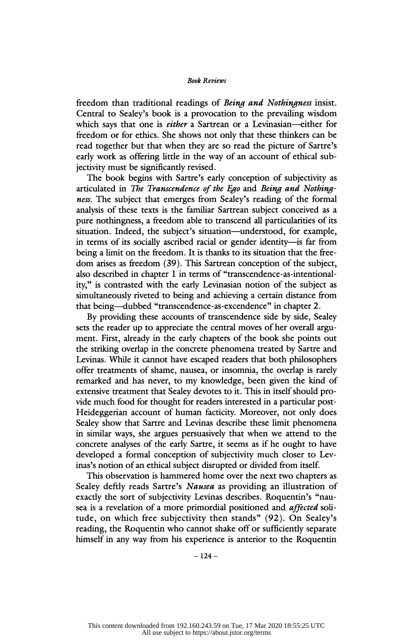## Book Reviews

 freedom than traditional readings of Being and Nothingness insist. Central to Sealey's book is a provocation to the prevailing wisdom which says that one is *either* a Sartrean or a Levinasian—either for freedom or for ethics. She shows not only that these thinkers can be read together but that when they are so read the picture of Sartre's early work as offering little in the way of an account of ethical sub jectivity must be significantly revised.

 The book begins with Sartre's early conception of subjectivity as articulated in The Transcendence of the Ego and Being and Nothing ness. The subject that emerges from Sealey's reading of the formal analysis of these texts is the familiar Sartrean subject conceived as a pure nothingness, a freedom able to transcend all particularities of its situation. Indeed, the subject's situation—understood, for example, in terms of its socially ascribed racial or gender identity-is far from being a limit on the freedom. It is thanks to its situation that the free dom arises as freedom (39). This Sartrean conception of the subject, also described in chapter 1 in terms of "transcendence-as-intentional ity," is contrasted with the early Levinasian notion of the subject as simultaneously riveted to being and achieving a certain distance from that being—dubbed "transcendence-as-excendence" in chapter 2.

 By providing these accounts of transcendence side by side, Sealey sets the reader up to appreciate the central moves of her overall argu ment. First, already in the early chapters of the book she points out the striking overlap in the concrete phenomena treated by Sartre and Levinas. While it cannot have escaped readers that both philosophers offer treatments of shame, nausea, or insomnia, the overlap is rarely remarked and has never, to my knowledge, been given the kind of extensive treatment that Sealey devotes to it. This in itself should pro vide much food for thought for readers interested in a particular post- Heideggerian account of human facticity. Moreover, not only does Sealey show that Sartre and Levinas describe these limit phenomena in similar ways, she argues persuasively that when we attend to the concrete analyses of the early Sartre, it seems as if he ought to have developed a formal conception of subjectivity much closer to Lev inas's notion of an ethical subject disrupted or divided from itself.

 This observation is hammered home over the next two chapters as Sealey deftly reads Sartre's Nausea as providing an illustration of exactly the sort of subjectivity Levinas describes. Roquentin's "nau sea is a revelation of a more primordial positioned and affected soli tude, on which free subjectivity then stands" (92). On Sealey's reading, the Roquentin who cannot shake off or sufficiently separate himself in any way from his experience is anterior to the Roquentin

-124-